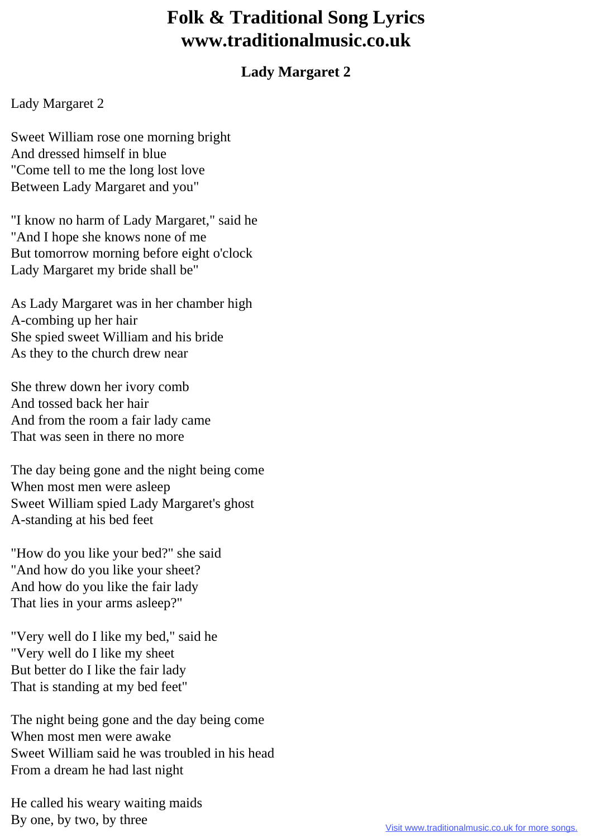## **Folk & Traditional Song Lyrics www.traditionalmusic.co.uk**

## **Lady Margaret 2**

## Lady Margaret 2

Sweet William rose one morning bright And dressed himself in blue "Come tell to me the long lost love Between Lady Margaret and you"

"I know no harm of Lady Margaret," said he "And I hope she knows none of me But tomorrow morning before eight o'clock Lady Margaret my bride shall be"

As Lady Margaret was in her chamber high A-combing up her hair She spied sweet William and his bride As they to the church drew near

She threw down her ivory comb And tossed back her hair And from the room a fair lady came That was seen in there no more

The day being gone and the night being come When most men were asleep Sweet William spied Lady Margaret's ghost A-standing at his bed feet

"How do you like your bed?" she said "And how do you like your sheet? And how do you like the fair lady That lies in your arms asleep?"

"Very well do I like my bed," said he "Very well do I like my sheet But better do I like the fair lady That is standing at my bed feet"

The night being gone and the day being come When most men were awake Sweet William said he was troubled in his head From a dream he had last night

He called his weary waiting maids By one, by two, by three